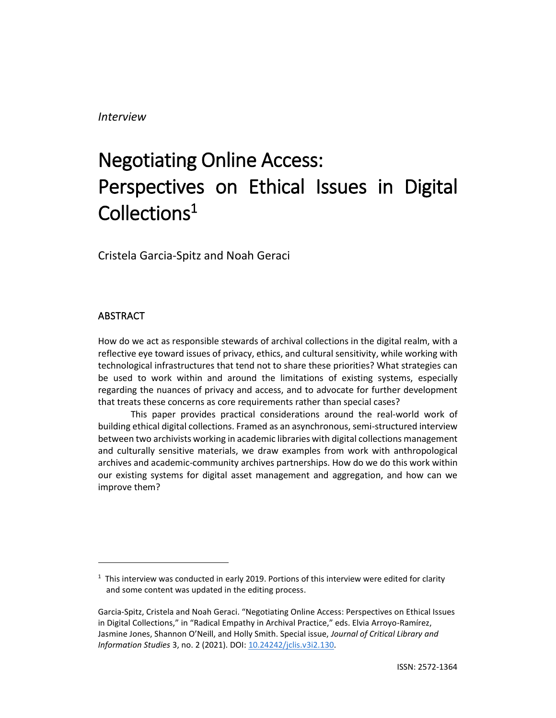*Interview*

# Negotiating Online Access: Perspectives on Ethical Issues in Digital Collections $^1$

Cristela Garcia-Spitz and Noah Geraci

### ABSTRACT

How do we act as responsible stewards of archival collections in the digital realm, with a reflective eye toward issues of privacy, ethics, and cultural sensitivity, while working with technological infrastructures that tend not to share these priorities? What strategies can be used to work within and around the limitations of existing systems, especially regarding the nuances of privacy and access, and to advocate for further development that treats these concerns as core requirements rather than special cases?

This paper provides practical considerations around the real-world work of building ethical digital collections. Framed as an asynchronous, semi-structured interview between two archivists working in academic libraries with digital collections management and culturally sensitive materials, we draw examples from work with anthropological archives and academic-community archives partnerships. How do we do this work within our existing systems for digital asset management and aggregation, and how can we improve them?

 $1$  This interview was conducted in early 2019. Portions of this interview were edited for clarity and some content was updated in the editing process.

Garcia-Spitz, Cristela and Noah Geraci. "Negotiating Online Access: Perspectives on Ethical Issues in Digital Collections," in "Radical Empathy in Archival Practice," eds. Elvia Arroyo-Ramírez, Jasmine Jones, Shannon O'Neill, and Holly Smith. Special issue, *Journal of Critical Library and Information Studies* 3, no. 2 (2021). DOI[: 10.24242/jclis.v3i2.130.](https://doi.org/10.24242/jclis.v3i2.130)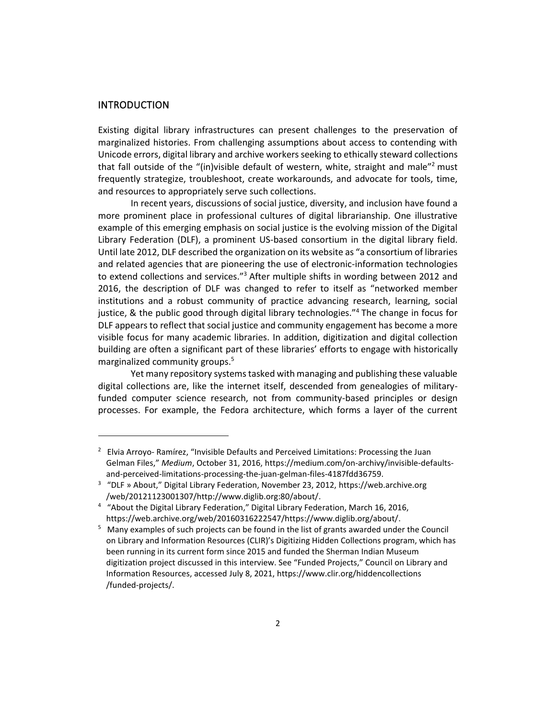#### INTRODUCTION

Existing digital library infrastructures can present challenges to the preservation of marginalized histories. From challenging assumptions about access to contending with Unicode errors, digital library and archive workers seeking to ethically steward collections that fall outside of the "(in)visible default of western, white, straight and male"<sup>2</sup> must frequently strategize, troubleshoot, create workarounds, and advocate for tools, time, and resources to appropriately serve such collections.

In recent years, discussions of social justice, diversity, and inclusion have found a more prominent place in professional cultures of digital librarianship. One illustrative example of this emerging emphasis on social justice is the evolving mission of the Digital Library Federation (DLF), a prominent US-based consortium in the digital library field. Until late 2012, DLF described the organization on its website as "a consortium of libraries and related agencies that are pioneering the use of electronic-information technologies to extend collections and services."<sup>3</sup> After multiple shifts in wording between 2012 and 2016, the description of DLF was changed to refer to itself as "networked member institutions and a robust community of practice advancing research, learning, social justice, & the public good through digital library technologies."<sup>4</sup> The change in focus for DLF appears to reflect that social justice and community engagement has become a more visible focus for many academic libraries. In addition, digitization and digital collection building are often a significant part of these libraries' efforts to engage with historically marginalized community groups.<sup>5</sup>

Yet many repository systems tasked with managing and publishing these valuable digital collections are, like the internet itself, descended from genealogies of militaryfunded computer science research, not from community-based principles or design processes. For example, the Fedora architecture, which forms a layer of the current

<sup>&</sup>lt;sup>2</sup> Elvia Arroyo- Ramírez, "Invisible Defaults and Perceived Limitations: Processing the Juan Gelman Files," *Medium*, October 31, 2016, https://medium.com/on-archivy/invisible-defaultsand-perceived-limitations-processing-the-juan-gelman-files-4187fdd36759.

<sup>3</sup> "DLF » About," Digital Library Federation, November 23, 2012, [h](https://web.archive.org/web/20121123001307/http:/www.diglib.org:80/about/)ttps://web.archive.org /web/20121123001307/http://www.diglib.org:80/about/.

<sup>&</sup>lt;sup>4</sup> "About the Digital Library Federation[,](https://web.archive.org/web/20160316222547/https:/www.diglib.org/about/)" Digital Library Federation, March 16, 2016, https://web.archive.org/web/20160316222547/https://www.diglib.org/about/.

<sup>&</sup>lt;sup>5</sup> Many examples of such projects can be found in the list of grants awarded under the Council on Library and Information Resources (CLIR)'s Digitizing Hidden Collections program, which has been running in its current form since 2015 and funded the Sherman Indian Museum digitization project discussed in this interview. See "Funded Projects," Council on Library and Information Resources, accessed July 8, 2021, https://www.clir.org/hiddencollections /funded-projects/.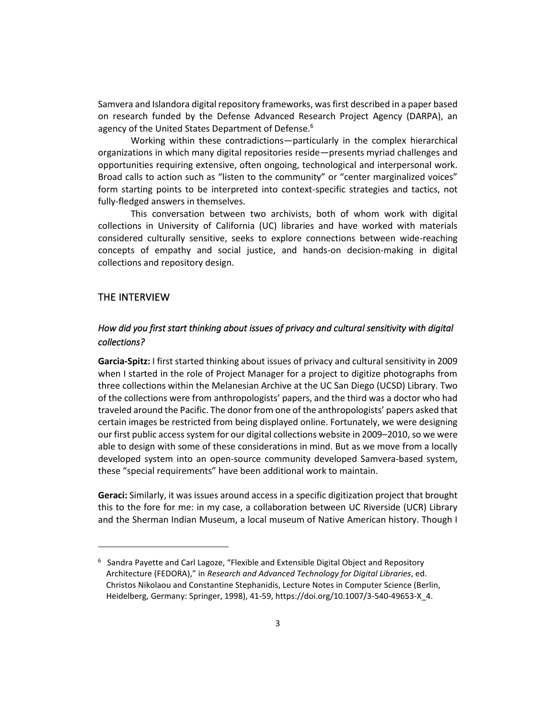Samvera and Islandora digital repository frameworks, was first described in a paper based on research funded by the Defense Advanced Research Project Agency (DARPA), an agency of the United States Department of Defense.<sup>6</sup>

Working within these contradictions—particularly in the complex hierarchical organizations in which many digital repositories reside—presents myriad challenges and opportunities requiring extensive, often ongoing, technological and interpersonal work. Broad calls to action such as "listen to the community" or "center marginalized voices" form starting points to be interpreted into context-specific strategies and tactics, not fully-fledged answers in themselves.

This conversation between two archivists, both of whom work with digital collections in University of California (UC) libraries and have worked with materials considered culturally sensitive, seeks to explore connections between wide-reaching concepts of empathy and social justice, and hands-on decision-making in digital collections and repository design.

#### THE INTERVIEW

# *How did you first start thinking about issues of privacy and cultural sensitivity with digital collections?*

**Garcia-Spitz:** I first started thinking about issues of privacy and cultural sensitivity in 2009 when I started in the role of Project Manager for a project to digitize photographs from three collections within the Melanesian Archive at the UC San Diego (UCSD) Library. Two of the collections were from anthropologists' papers, and the third was a doctor who had traveled around the Pacific. The donor from one of the anthropologists' papers asked that certain images be restricted from being displayed online. Fortunately, we were designing our first public access system for our digital collections website in 2009–2010, so we were able to design with some of these considerations in mind. But as we move from a locally developed system into an open-source community developed Samvera-based system, these "special requirements" have been additional work to maintain.

**Geraci:** Similarly, it was issues around access in a specific digitization project that brought this to the fore for me: in my case, a collaboration between UC Riverside (UCR) Library and the Sherman Indian Museum, a local museum of Native American history. Though I

<sup>&</sup>lt;sup>6</sup> Sandra Payette and Carl Lagoze, "Flexible and Extensible Digital Object and Repository Architecture (FEDORA)," in *Research and Advanced Technology for Digital Libraries*, ed. Christos Nikolaou and Constantine Stephanidis, Lecture Notes in Computer Science (Berlin, Heidelberg, Germany: Springer, 1998), 41-59, https://doi.org/10.1007/3-540-49653-X\_4.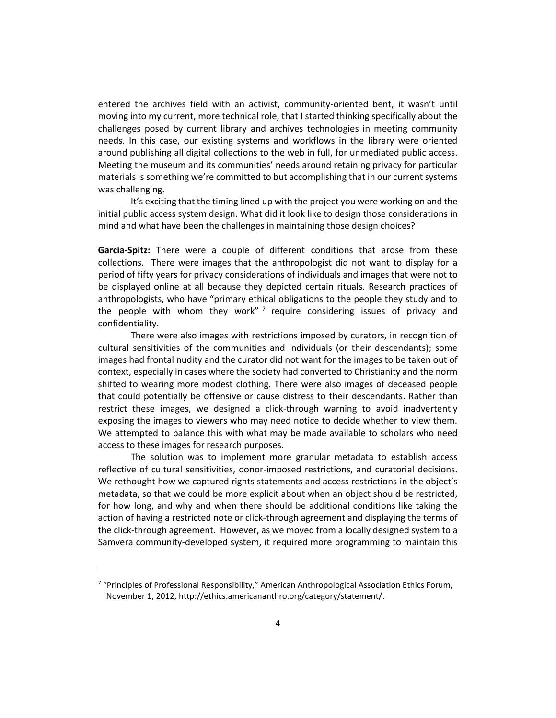entered the archives field with an activist, community-oriented bent, it wasn't until moving into my current, more technical role, that I started thinking specifically about the challenges posed by current library and archives technologies in meeting community needs. In this case, our existing systems and workflows in the library were oriented around publishing all digital collections to the web in full, for unmediated public access. Meeting the museum and its communities' needs around retaining privacy for particular materials is something we're committed to but accomplishing that in our current systems was challenging.

It's exciting that the timing lined up with the project you were working on and the initial public access system design. What did it look like to design those considerations in mind and what have been the challenges in maintaining those design choices?

**Garcia-Spitz:** There were a couple of different conditions that arose from these collections. There were images that the anthropologist did not want to display for a period of fifty years for privacy considerations of individuals and images that were not to be displayed online at all because they depicted certain rituals. Research practices of anthropologists, who have "primary ethical obligations to the people they study and to the people with whom they work"<sup>7</sup> require considering issues of privacy and confidentiality.

There were also images with restrictions imposed by curators, in recognition of cultural sensitivities of the communities and individuals (or their descendants); some images had frontal nudity and the curator did not want for the images to be taken out of context, especially in cases where the society had converted to Christianity and the norm shifted to wearing more modest clothing. There were also images of deceased people that could potentially be offensive or cause distress to their descendants. Rather than restrict these images, we designed a click-through warning to avoid inadvertently exposing the images to viewers who may need notice to decide whether to view them. We attempted to balance this with what may be made available to scholars who need access to these images for research purposes.

The solution was to implement more granular metadata to establish access reflective of cultural sensitivities, donor-imposed restrictions, and curatorial decisions. We rethought how we captured rights statements and access restrictions in the object's metadata, so that we could be more explicit about when an object should be restricted, for how long, and why and when there should be additional conditions like taking the action of having a restricted note or click-through agreement and displaying the terms of the click-through agreement. However, as we moved from a locally designed system to a Samvera community-developed system, it required more programming to maintain this

<sup>&</sup>lt;sup>7</sup> "Principles of Professional Responsibility," American Anthropological Association Ethics Forum, November 1, 2012, http://ethics.americananthro.org/category/statement/.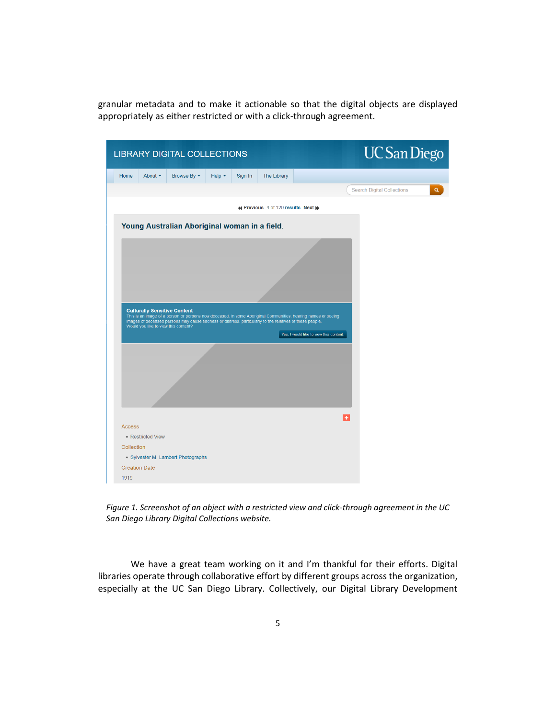granular metadata and to make it actionable so that the digital objects are displayed appropriately as either restricted or with a click-through agreement.

|                             |                                      | <b>LIBRARY DIGITAL COLLECTIONS</b>                                                                       |             |         |                                    |                                                                                                               | <b>UC</b> San Diego                           |
|-----------------------------|--------------------------------------|----------------------------------------------------------------------------------------------------------|-------------|---------|------------------------------------|---------------------------------------------------------------------------------------------------------------|-----------------------------------------------|
| Home                        | About -                              | Browse By $\sim$                                                                                         | Help $\sim$ | Sign In | <b>The Library</b>                 |                                                                                                               |                                               |
|                             |                                      |                                                                                                          |             |         |                                    |                                                                                                               | <b>Search Digital Collections</b><br>$\alpha$ |
|                             |                                      |                                                                                                          |             |         | « Previous 4 of 120 results Next » |                                                                                                               |                                               |
|                             |                                      | Young Australian Aboriginal woman in a field.                                                            |             |         |                                    |                                                                                                               |                                               |
|                             |                                      |                                                                                                          |             |         |                                    |                                                                                                               |                                               |
|                             |                                      |                                                                                                          |             |         |                                    |                                                                                                               |                                               |
|                             |                                      |                                                                                                          |             |         |                                    |                                                                                                               |                                               |
|                             |                                      |                                                                                                          |             |         |                                    |                                                                                                               |                                               |
|                             |                                      |                                                                                                          |             |         |                                    |                                                                                                               |                                               |
|                             |                                      |                                                                                                          |             |         |                                    |                                                                                                               |                                               |
|                             |                                      |                                                                                                          |             |         |                                    |                                                                                                               |                                               |
|                             |                                      |                                                                                                          |             |         |                                    |                                                                                                               |                                               |
|                             |                                      | <b>Culturally Sensitive Content</b>                                                                      |             |         |                                    |                                                                                                               |                                               |
|                             |                                      | images of deceased persons may cause sadness or distress, particularly to the relatives of these people. |             |         |                                    | This is an image of a person or persons now deceased. In some Aboriginal Communities, hearing names or seeing |                                               |
|                             | Would you like to view this content? |                                                                                                          |             |         |                                    |                                                                                                               |                                               |
|                             |                                      |                                                                                                          |             |         |                                    | Yes, I would like to view this content.                                                                       |                                               |
|                             |                                      |                                                                                                          |             |         |                                    |                                                                                                               |                                               |
|                             |                                      |                                                                                                          |             |         |                                    |                                                                                                               |                                               |
|                             |                                      |                                                                                                          |             |         |                                    |                                                                                                               |                                               |
|                             |                                      |                                                                                                          |             |         |                                    |                                                                                                               |                                               |
|                             |                                      |                                                                                                          |             |         |                                    |                                                                                                               |                                               |
|                             |                                      |                                                                                                          |             |         |                                    |                                                                                                               |                                               |
|                             |                                      |                                                                                                          |             |         |                                    |                                                                                                               |                                               |
|                             |                                      |                                                                                                          |             |         |                                    |                                                                                                               | $\overline{+}$                                |
|                             | • Restricted View                    |                                                                                                          |             |         |                                    |                                                                                                               |                                               |
| <b>Access</b><br>Collection |                                      |                                                                                                          |             |         |                                    |                                                                                                               |                                               |
|                             |                                      | • Sylvester M. Lambert Photographs                                                                       |             |         |                                    |                                                                                                               |                                               |
| <b>Creation Date</b>        |                                      |                                                                                                          |             |         |                                    |                                                                                                               |                                               |

*Figure 1. Screenshot of an object with a restricted view and click-through agreement in the UC San Diego Library Digital Collections website.*

We have a great team working on it and I'm thankful for their efforts. Digital libraries operate through collaborative effort by different groups across the organization, especially at the UC San Diego Library. Collectively, our Digital Library Development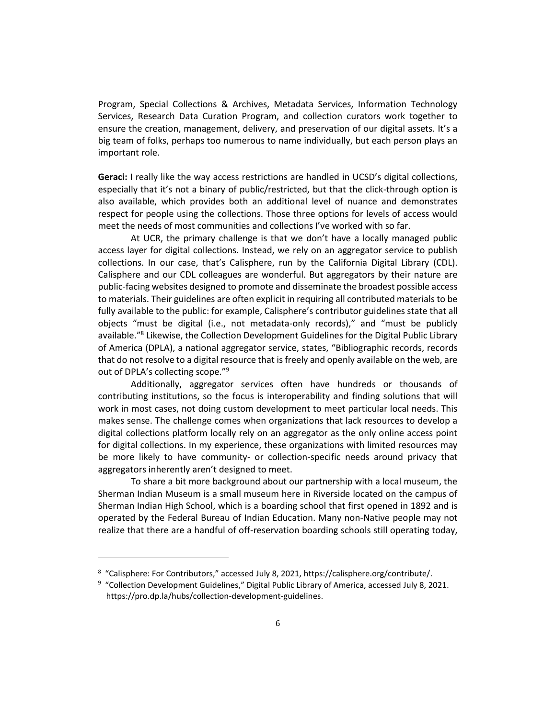Program, Special Collections & Archives, Metadata Services, Information Technology Services, Research Data Curation Program, and collection curators work together to ensure the creation, management, delivery, and preservation of our digital assets. It's a big team of folks, perhaps too numerous to name individually, but each person plays an important role.

**Geraci:** I really like the way access restrictions are handled in UCSD's digital collections, especially that it's not a binary of public/restricted, but that the click-through option is also available, which provides both an additional level of nuance and demonstrates respect for people using the collections. Those three options for levels of access would meet the needs of most communities and collections I've worked with so far.

At UCR, the primary challenge is that we don't have a locally managed public access layer for digital collections. Instead, we rely on an aggregator service to publish collections. In our case, that's Calisphere, run by the California Digital Library (CDL). Calisphere and our CDL colleagues are wonderful. But aggregators by their nature are public-facing websites designed to promote and disseminate the broadest possible access to materials. Their guidelines are often explicit in requiring all contributed materials to be fully available to the public: for example, Calisphere's contributor guidelines state that all objects "must be digital (i.e., not metadata-only records)," and "must be publicly available."<sup>8</sup> Likewise, the Collection Development Guidelines for the Digital Public Library of America (DPLA), a national aggregator service, states, "Bibliographic records, records that do not resolve to a digital resource that is freely and openly available on the web, are out of DPLA's collecting scope."<sup>9</sup>

Additionally, aggregator services often have hundreds or thousands of contributing institutions, so the focus is interoperability and finding solutions that will work in most cases, not doing custom development to meet particular local needs. This makes sense. The challenge comes when organizations that lack resources to develop a digital collections platform locally rely on an aggregator as the only online access point for digital collections. In my experience, these organizations with limited resources may be more likely to have community- or collection-specific needs around privacy that aggregators inherently aren't designed to meet.

To share a bit more background about our partnership with a local museum, the Sherman Indian Museum is a small museum here in Riverside located on the campus of Sherman Indian High School, which is a boarding school that first opened in 1892 and is operated by the Federal Bureau of Indian Education. Many non-Native people may not realize that there are a handful of off-reservation boarding schools still operating today,

<sup>&</sup>lt;sup>8</sup> "Calisphere: For Contributors," accessed July 8, 2021, https://calisphere.org/contribute/.

<sup>&</sup>lt;sup>9</sup> "Collection Development Guidelines," Digital Public Library of America, accessed July 8, 202[1.](https://pro.dp.la/hubs/collection-development-guidelines) https://pro.dp.la/hubs/collection-development-guidelines.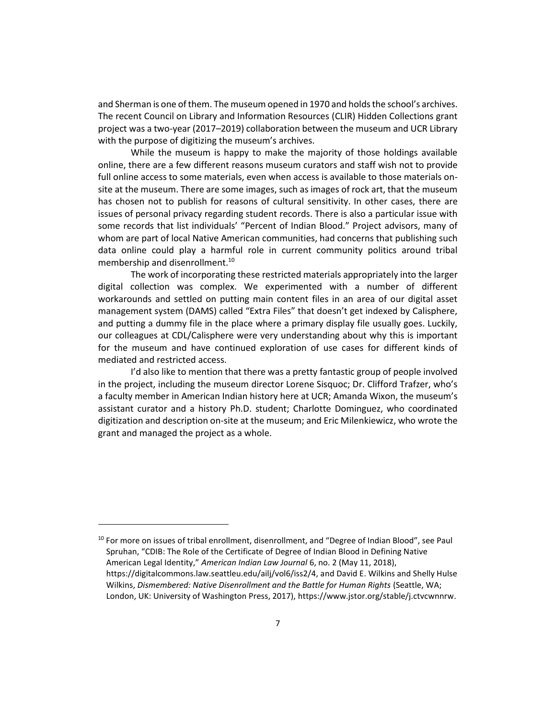and Sherman is one of them. The museum opened in 1970 and holds the school's archives. The recent Council on Library and Information Resources (CLIR) Hidden Collections grant project was a two-year (2017–2019) collaboration between the museum and UCR Library with the purpose of digitizing the museum's archives.

While the museum is happy to make the majority of those holdings available online, there are a few different reasons museum curators and staff wish not to provide full online access to some materials, even when access is available to those materials onsite at the museum. There are some images, such as images of rock art, that the museum has chosen not to publish for reasons of cultural sensitivity. In other cases, there are issues of personal privacy regarding student records. There is also a particular issue with some records that list individuals' "Percent of Indian Blood." Project advisors, many of whom are part of local Native American communities, had concerns that publishing such data online could play a harmful role in current community politics around tribal membership and disenrollment.<sup>10</sup>

The work of incorporating these restricted materials appropriately into the larger digital collection was complex. We experimented with a number of different workarounds and settled on putting main content files in an area of our digital asset management system (DAMS) called "Extra Files" that doesn't get indexed by Calisphere, and putting a dummy file in the place where a primary display file usually goes. Luckily, our colleagues at CDL/Calisphere were very understanding about why this is important for the museum and have continued exploration of use cases for different kinds of mediated and restricted access.

I'd also like to mention that there was a pretty fantastic group of people involved in the project, including the museum director Lorene Sisquoc; Dr. Clifford Trafzer, who's a faculty member in American Indian history here at UCR; Amanda Wixon, the museum's assistant curator and a history Ph.D. student; Charlotte Dominguez, who coordinated digitization and description on-site at the museum; and Eric Milenkiewicz, who wrote the grant and managed the project as a whole.

<sup>&</sup>lt;sup>10</sup> For more on issues of tribal enrollment, disenrollment, and "Degree of Indian Blood", see Paul Spruhan, "CDIB: The Role of the Certificate of Degree of Indian Blood in Defining Native American Legal Identity," *American Indian Law Journal* 6, no. 2 (May 11, 2018)[,](https://digitalcommons.law.seattleu.edu/ailj/vol6/iss2/4) https://digitalcommons.law.seattleu.edu/ailj/vol6/iss2/4, and David E. Wilkins and Shelly Hulse Wilkins, *Dismembered: Native Disenrollment and the Battle for Human Rights* (Seattle, WA; London, UK: University of Washington Press, 2017), https://www.jstor.org/stable/j.ctvcwnnrw.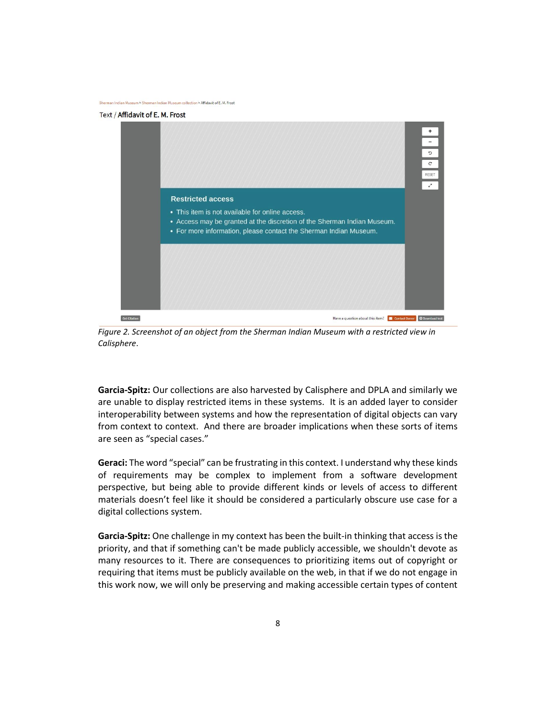lndian Museum > Sherman Indian Museum collection > Affidavit of E. M. Frost

#### Text / Affidavit of E. M. Frost



*Figure 2. Screenshot of an object from the Sherman Indian Museum with a restricted view in Calisphere*.

**Garcia-Spitz:** Our collections are also harvested by Calisphere and DPLA and similarly we are unable to display restricted items in these systems. It is an added layer to consider interoperability between systems and how the representation of digital objects can vary from context to context. And there are broader implications when these sorts of items are seen as "special cases."

**Geraci:** The word "special" can be frustrating in this context. I understand why these kinds of requirements may be complex to implement from a software development perspective, but being able to provide different kinds or levels of access to different materials doesn't feel like it should be considered a particularly obscure use case for a digital collections system.

**Garcia-Spitz:** One challenge in my context has been the built-in thinking that access is the priority, and that if something can't be made publicly accessible, we shouldn't devote as many resources to it. There are consequences to prioritizing items out of copyright or requiring that items must be publicly available on the web, in that if we do not engage in this work now, we will only be preserving and making accessible certain types of content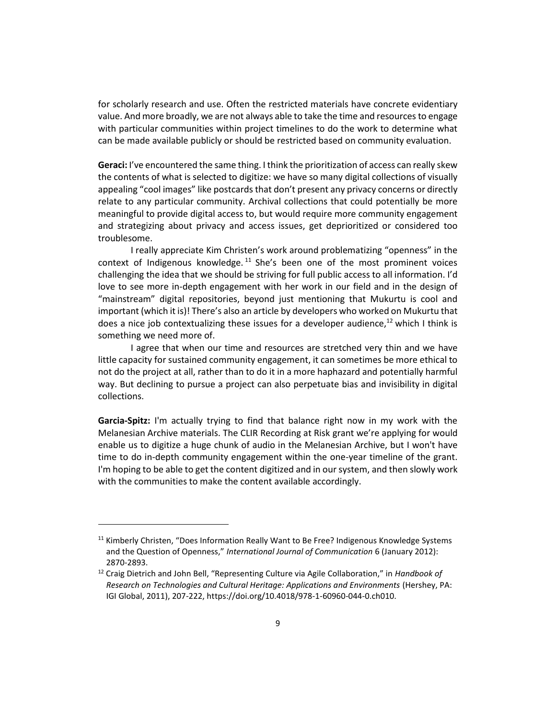for scholarly research and use. Often the restricted materials have concrete evidentiary value. And more broadly, we are not always able to take the time and resources to engage with particular communities within project timelines to do the work to determine what can be made available publicly or should be restricted based on community evaluation.

**Geraci:** I've encountered the same thing. I think the prioritization of access can really skew the contents of what is selected to digitize: we have so many digital collections of visually appealing "cool images" like postcards that don't present any privacy concerns or directly relate to any particular community. Archival collections that could potentially be more meaningful to provide digital access to, but would require more community engagement and strategizing about privacy and access issues, get deprioritized or considered too troublesome.

I really appreciate Kim Christen's work around problematizing "openness" in the context of Indigenous knowledge.<sup>11</sup> She's been one of the most prominent voices challenging the idea that we should be striving for full public access to all information. I'd love to see more in-depth engagement with her work in our field and in the design of "mainstream" digital repositories, beyond just mentioning that Mukurtu is cool and important (which it is)! There's also an article by developers who worked on Mukurtu that does a nice job contextualizing these issues for a developer audience,<sup>12</sup> which I think is something we need more of.

I agree that when our time and resources are stretched very thin and we have little capacity for sustained community engagement, it can sometimes be more ethical to not do the project at all, rather than to do it in a more haphazard and potentially harmful way. But declining to pursue a project can also perpetuate bias and invisibility in digital collections.

**Garcia-Spitz:** I'm actually trying to find that balance right now in my work with the Melanesian Archive materials. The CLIR Recording at Risk grant we're applying for would enable us to digitize a huge chunk of audio in the Melanesian Archive, but I won't have time to do in-depth community engagement within the one-year timeline of the grant. I'm hoping to be able to get the content digitized and in our system, and then slowly work with the communities to make the content available accordingly.

<sup>&</sup>lt;sup>11</sup> Kimberly Christen, "Does Information Really Want to Be Free? Indigenous Knowledge Systems and the Question of Openness," *International Journal of Communication* 6 (January 2012): 2870-2893.

<sup>12</sup> Craig Dietrich and John Bell, "Representing Culture via Agile Collaboration," in *Handbook of Research on Technologies and Cultural Heritage: Applications and Environments* (Hershey, PA: IGI Global, 2011), 207-222, https://doi.org/10.4018/978-1-60960-044-0.ch010.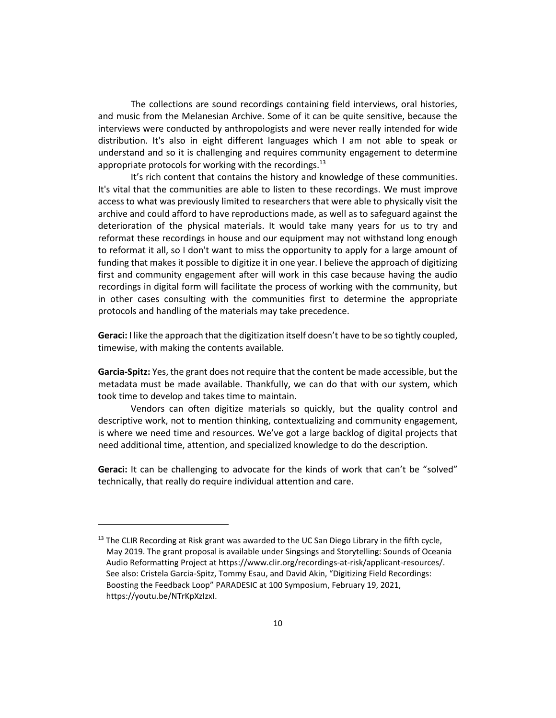The collections are sound recordings containing field interviews, oral histories, and music from the Melanesian Archive. Some of it can be quite sensitive, because the interviews were conducted by anthropologists and were never really intended for wide distribution. It's also in eight different languages which I am not able to speak or understand and so it is challenging and requires community engagement to determine appropriate protocols for working with the recordings. $^{13}$ 

It's rich content that contains the history and knowledge of these communities. It's vital that the communities are able to listen to these recordings. We must improve access to what was previously limited to researchers that were able to physically visit the archive and could afford to have reproductions made, as well as to safeguard against the deterioration of the physical materials. It would take many years for us to try and reformat these recordings in house and our equipment may not withstand long enough to reformat it all, so I don't want to miss the opportunity to apply for a large amount of funding that makes it possible to digitize it in one year. I believe the approach of digitizing first and community engagement after will work in this case because having the audio recordings in digital form will facilitate the process of working with the community, but in other cases consulting with the communities first to determine the appropriate protocols and handling of the materials may take precedence.

**Geraci:** I like the approach that the digitization itself doesn't have to be so tightly coupled, timewise, with making the contents available.

**Garcia-Spitz:** Yes, the grant does not require that the content be made accessible, but the metadata must be made available. Thankfully, we can do that with our system, which took time to develop and takes time to maintain.

Vendors can often digitize materials so quickly, but the quality control and descriptive work, not to mention thinking, contextualizing and community engagement, is where we need time and resources. We've got a large backlog of digital projects that need additional time, attention, and specialized knowledge to do the description.

**Geraci:** It can be challenging to advocate for the kinds of work that can't be "solved" technically, that really do require individual attention and care.

 $13$  The CLIR Recording at Risk grant was awarded to the UC San Diego Library in the fifth cycle, May 2019. The grant proposal is available under Singsings and Storytelling: Sounds of Oceania Audio Reformatting Project at https://www.clir.org/recordings-at-risk/applicant-resources/. See also: Cristela Garcia-Spitz, Tommy Esau, and David Akin, "Digitizing Field Recordings: Boosting the Feedback Loop" PARADESIC at 100 Symposium, February 19, 2021, https://youtu.be/NTrKpXzIzxI.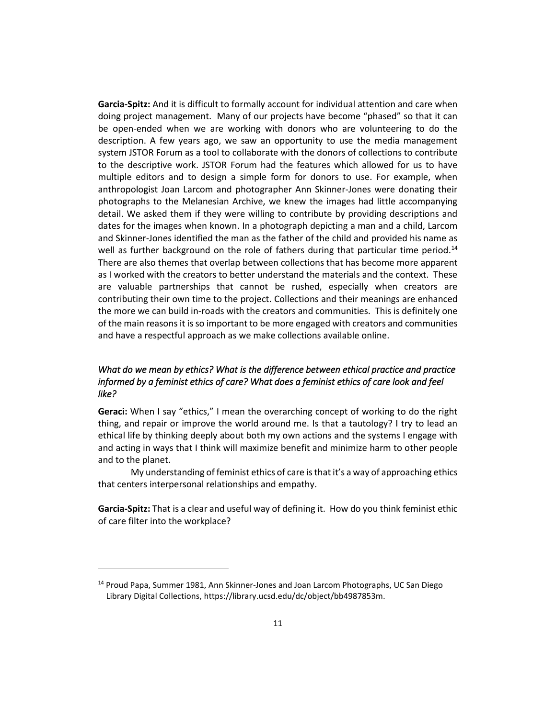**Garcia-Spitz:** And it is difficult to formally account for individual attention and care when doing project management. Many of our projects have become "phased" so that it can be open-ended when we are working with donors who are volunteering to do the description. A few years ago, we saw an opportunity to use the media management system JSTOR Forum as a tool to collaborate with the donors of collections to contribute to the descriptive work. JSTOR Forum had the features which allowed for us to have multiple editors and to design a simple form for donors to use. For example, when anthropologist Joan Larcom and photographer Ann Skinner-Jones were donating their photographs to the Melanesian Archive, we knew the images had little accompanying detail. We asked them if they were willing to contribute by providing descriptions and dates for the images when known. In a photograph depicting a man and a child, Larcom and Skinner-Jones identified the man as the father of the child and provided his name as well as further background on the role of fathers during that particular time period.<sup>14</sup> There are also themes that overlap between collections that has become more apparent as I worked with the creators to better understand the materials and the context. These are valuable partnerships that cannot be rushed, especially when creators are contributing their own time to the project. Collections and their meanings are enhanced the more we can build in-roads with the creators and communities. This is definitely one of the main reasons it is so important to be more engaged with creators and communities and have a respectful approach as we make collections available online.

# *What do we mean by ethics? What is the difference between ethical practice and practice informed by a feminist ethics of care? What does a feminist ethics of care look and feel like?*

**Geraci:** When I say "ethics," I mean the overarching concept of working to do the right thing, and repair or improve the world around me. Is that a tautology? I try to lead an ethical life by thinking deeply about both my own actions and the systems I engage with and acting in ways that I think will maximize benefit and minimize harm to other people and to the planet.

My understanding of feminist ethics of care is that it's a way of approaching ethics that centers interpersonal relationships and empathy.

**Garcia-Spitz:** That is a clear and useful way of defining it. How do you think feminist ethic of care filter into the workplace?

<sup>&</sup>lt;sup>14</sup> Proud Papa, Summer 1981, Ann Skinner-Jones and Joan Larcom Photographs, UC San Diego Library Digital Collections, https://library.ucsd.edu/dc/object/bb4987853m.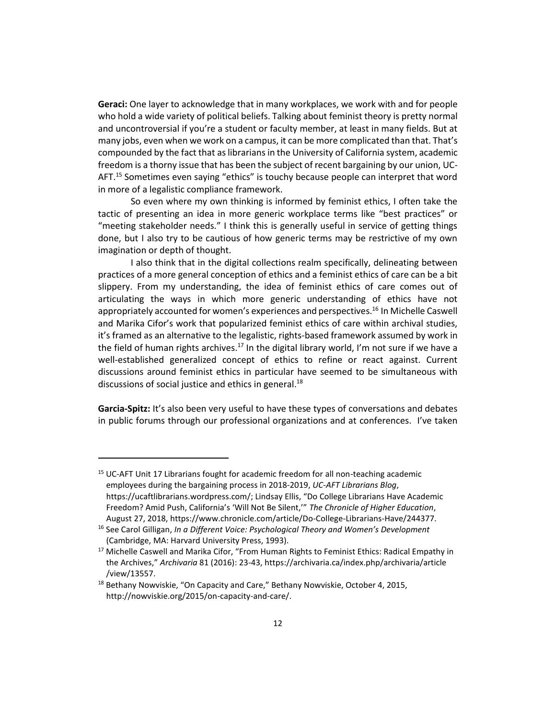**Geraci:** One layer to acknowledge that in many workplaces, we work with and for people who hold a wide variety of political beliefs. Talking about feminist theory is pretty normal and uncontroversial if you're a student or faculty member, at least in many fields. But at many jobs, even when we work on a campus, it can be more complicated than that. That's compounded by the fact that as librarians in the University of California system, academic freedom is a thorny issue that has been the subject of recent bargaining by our union, UC-AFT.<sup>15</sup> Sometimes even saying "ethics" is touchy because people can interpret that word in more of a legalistic compliance framework.

So even where my own thinking is informed by feminist ethics, I often take the tactic of presenting an idea in more generic workplace terms like "best practices" or "meeting stakeholder needs." I think this is generally useful in service of getting things done, but I also try to be cautious of how generic terms may be restrictive of my own imagination or depth of thought.

I also think that in the digital collections realm specifically, delineating between practices of a more general conception of ethics and a feminist ethics of care can be a bit slippery. From my understanding, the idea of feminist ethics of care comes out of articulating the ways in which more generic understanding of ethics have not appropriately accounted for women's experiences and perspectives.<sup>16</sup> In Michelle Caswell and Marika Cifor's work that popularized feminist ethics of care within archival studies, it's framed as an alternative to the legalistic, rights-based framework assumed by work in the field of human rights archives.<sup>17</sup> In the digital library world, I'm not sure if we have a well-established generalized concept of ethics to refine or react against. Current discussions around feminist ethics in particular have seemed to be simultaneous with discussions of social justice and ethics in general. $^{18}$ 

**Garcia-Spitz:** It's also been very useful to have these types of conversations and debates in public forums through our professional organizations and at conferences. I've taken

<sup>&</sup>lt;sup>15</sup> UC-AFT Unit 17 Librarians fought for academic freedom for all non-teaching academic employees during the bargaining process in 2018-2019, *UC-AFT Librarians Blog*, https://ucaftlibrarians.wordpress.com/; Lindsay Ellis, "Do College Librarians Have Academic Freedom? Amid Push, California's 'Will Not Be Silent,'" *The Chronicle of Higher Education*, August 27, 2018, https://www.chronicle.com/article/Do-College-Librarians-Have/244377.

<sup>16</sup> See Carol Gilligan, *In a Different Voice: Psychological Theory and Women's Development* (Cambridge, MA: Harvard University Press, 1993).

<sup>&</sup>lt;sup>17</sup> Michelle Caswell and Marika Cifor, "From Human Rights to Feminist Ethics: Radical Empathy in the Archives," *Archivaria* 81 (2016): 23-43, https://archivaria.ca/index.php/archivaria/article /view/13557.

<sup>&</sup>lt;sup>18</sup> Bethany Nowviskie[,](http://nowviskie.org/2015/on-capacity-and-care/) "On Capacity and Care," Bethany Nowviskie, October 4, 2015, http://nowviskie.org/2015/on-capacity-and-care/.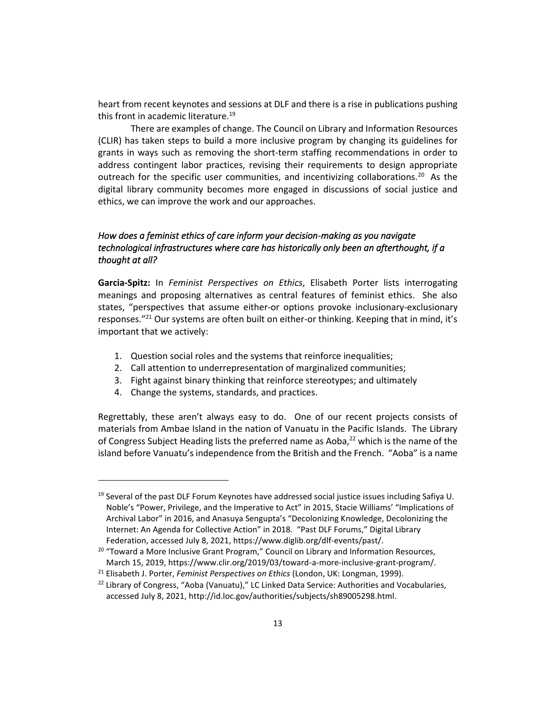heart from recent keynotes and sessions at DLF and there is a rise in publications pushing this front in academic literature.<sup>19</sup>

There are examples of change. The Council on Library and Information Resources (CLIR) has taken steps to build a more inclusive program by changing its guidelines for grants in ways such as removing the short-term staffing recommendations in order to address contingent labor practices, revising their requirements to design appropriate outreach for the specific user communities, and incentivizing collaborations.<sup>20</sup> As the digital library community becomes more engaged in discussions of social justice and ethics, we can improve the work and our approaches.

# *How does a feminist ethics of care inform your decision-making as you navigate technological infrastructures where care has historically only been an afterthought, if a thought at all?*

**Garcia-Spitz:** In *Feminist Perspectives on Ethics*, Elisabeth Porter lists interrogating meanings and proposing alternatives as central features of feminist ethics. She also states, "perspectives that assume either-or options provoke inclusionary-exclusionary responses."<sup>21</sup> Our systems are often built on either-or thinking. Keeping that in mind, it's important that we actively:

- 1. Question social roles and the systems that reinforce inequalities;
- 2. Call attention to underrepresentation of marginalized communities;
- 3. Fight against binary thinking that reinforce stereotypes; and ultimately
- 4. Change the systems, standards, and practices.

Regrettably, these aren't always easy to do. One of our recent projects consists of materials from Ambae Island in the nation of Vanuatu in the Pacific Islands. The Library of Congress Subject Heading lists the preferred name as Aoba, $^{22}$  which is the name of the island before Vanuatu's independence from the British and the French. "Aoba" is a name

 $19$  Several of the past DLF Forum Keynotes have addressed social justice issues including Safiya U. Noble's "Power, Privilege, and the Imperative to Act" in 2015, Stacie Williams' "Implications of Archival Labor" in 2016, and Anasuya Sengupta's "Decolonizing Knowledge, Decolonizing the Internet: An Agenda for Collective Action" in 2018. "Past DLF Forums," Digital Library Federation, accessed July 8, 2021, https://www.diglib.org/dlf-events/past/.

<sup>&</sup>lt;sup>20</sup> "Toward a More Inclusive Grant Program," Council on Library and Information Resources, March 15, 2019, https://www.clir.org/2019/03/toward-a-more-inclusive-grant-program/.

<sup>21</sup> Elisabeth J. Porter, *Feminist Perspectives on Ethics* (London, UK: Longman, 1999).

<sup>&</sup>lt;sup>22</sup> Library of Congress, "Aoba (Vanuatu)," LC Linked Data Service: Authorities and Vocabularies, accessed July 8, 2021, http://id.loc.gov/authorities/subjects/sh89005298.html.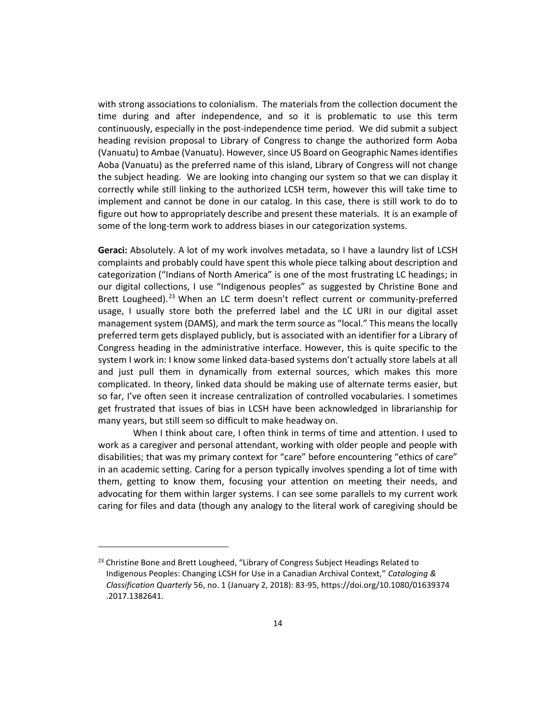with strong associations to colonialism. The materials from the collection document the time during and after independence, and so it is problematic to use this term continuously, especially in the post-independence time period. We did submit a subject heading revision proposal to Library of Congress to change the authorized form Aoba (Vanuatu) to Ambae (Vanuatu). However, since US Board on Geographic Names identifies Aoba (Vanuatu) as the preferred name of this island, Library of Congress will not change the subject heading. We are looking into changing our system so that we can display it correctly while still linking to the authorized LCSH term, however this will take time to implement and cannot be done in our catalog. In this case, there is still work to do to figure out how to appropriately describe and present these materials. It is an example of some of the long-term work to address biases in our categorization systems.

**Geraci:** Absolutely. A lot of my work involves metadata, so I have a laundry list of LCSH complaints and probably could have spent this whole piece talking about description and categorization ("Indians of North America" is one of the most frustrating LC headings; in our digital collections, I use "Indigenous peoples" as suggested by Christine Bone and Brett Lougheed).<sup>23</sup> When an LC term doesn't reflect current or community-preferred usage, I usually store both the preferred label and the LC URI in our digital asset management system (DAMS), and mark the term source as "local." This means the locally preferred term gets displayed publicly, but is associated with an identifier for a Library of Congress heading in the administrative interface. However, this is quite specific to the system I work in: I know some linked data-based systems don't actually store labels at all and just pull them in dynamically from external sources, which makes this more complicated. In theory, linked data should be making use of alternate terms easier, but so far, I've often seen it increase centralization of controlled vocabularies. I sometimes get frustrated that issues of bias in LCSH have been acknowledged in librarianship for many years, but still seem so difficult to make headway on.

When I think about care, I often think in terms of time and attention. I used to work as a caregiver and personal attendant, working with older people and people with disabilities; that was my primary context for "care" before encountering "ethics of care" in an academic setting. Caring for a person typically involves spending a lot of time with them, getting to know them, focusing your attention on meeting their needs, and advocating for them within larger systems. I can see some parallels to my current work caring for files and data (though any analogy to the literal work of caregiving should be

<sup>&</sup>lt;sup>23</sup> Christine Bone and Brett Lougheed, "Library of Congress Subject Headings Related to Indigenous Peoples: Changing LCSH for Use in a Canadian Archival Context," *Cataloging & Classification Quarterly* 56, no. 1 (January 2, 2018): 83-95, https://doi.org/10.1080/01639374 .2017.1382641.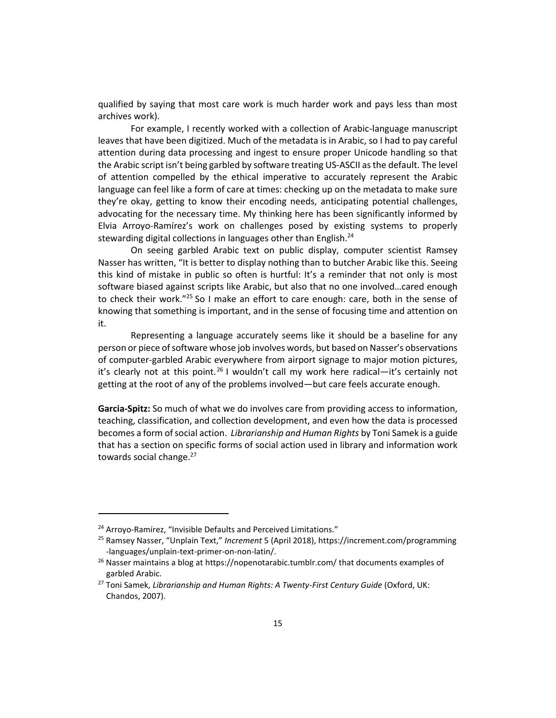qualified by saying that most care work is much harder work and pays less than most archives work).

For example, I recently worked with a collection of Arabic-language manuscript leaves that have been digitized. Much of the metadata is in Arabic, so I had to pay careful attention during data processing and ingest to ensure proper Unicode handling so that the Arabic script isn't being garbled by software treating US-ASCII as the default. The level of attention compelled by the ethical imperative to accurately represent the Arabic language can feel like a form of care at times: checking up on the metadata to make sure they're okay, getting to know their encoding needs, anticipating potential challenges, advocating for the necessary time. My thinking here has been significantly informed by Elvia Arroyo-Ramírez's work on challenges posed by existing systems to properly stewarding digital collections in languages other than English.<sup>24</sup>

On seeing garbled Arabic text on public display, computer scientist Ramsey Nasser has written, "It is better to display nothing than to butcher Arabic like this. Seeing this kind of mistake in public so often is hurtful: It's a reminder that not only is most software biased against scripts like Arabic, but also that no one involved…cared enough to check their work."<sup>25</sup> So I make an effort to care enough: care, both in the sense of knowing that something is important, and in the sense of focusing time and attention on it.

Representing a language accurately seems like it should be a baseline for any person or piece of software whose job involves words, but based on Nasser's observations of computer-garbled Arabic everywhere from airport signage to major motion pictures, it's clearly not at this point.<sup>26</sup> I wouldn't call my work here radical—it's certainly not getting at the root of any of the problems involved—but care feels accurate enough.

**Garcia-Spitz:** So much of what we do involves care from providing access to information, teaching, classification, and collection development, and even how the data is processed becomes a form of social action. *Librarianship and Human Rights* by Toni Samek is a guide that has a section on specific forms of social action used in library and information work towards social change.<sup>27</sup>

<sup>&</sup>lt;sup>24</sup> Arroyo-Ramírez, "Invisible Defaults and Perceived Limitations."

<sup>25</sup> Ramsey Nasser, "Unplain Text," *Increment* 5 (April 2018), https://increment.com/programming -languages/unplain-text-primer-on-non-latin/.

 $26$  Nasser maintains a blog at https://nopenotarabic.tumblr.com/ that documents examples of garbled Arabic.

<sup>27</sup> Toni Samek, *Librarianship and Human Rights: A Twenty-First Century Guide* (Oxford, UK: Chandos, 2007).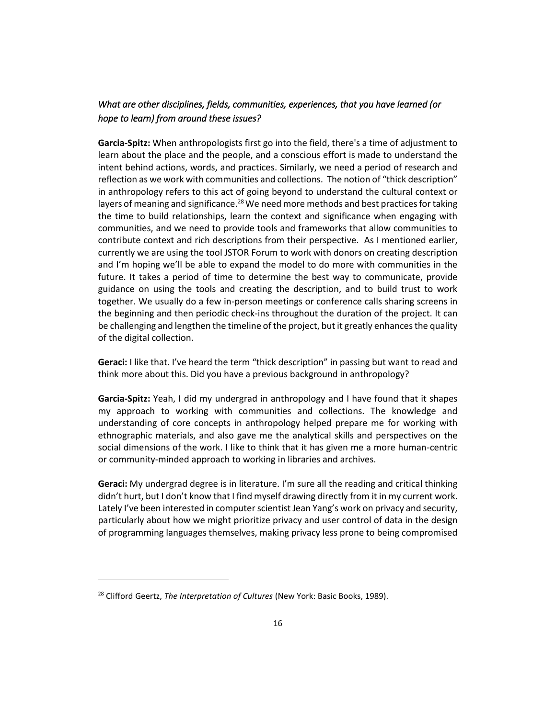# *What are other disciplines, fields, communities, experiences, that you have learned (or hope to learn) from around these issues?*

**Garcia-Spitz:** When anthropologists first go into the field, there's a time of adjustment to learn about the place and the people, and a conscious effort is made to understand the intent behind actions, words, and practices. Similarly, we need a period of research and reflection as we work with communities and collections. The notion of "thick description" in anthropology refers to this act of going beyond to understand the cultural context or layers of meaning and significance.<sup>28</sup> We need more methods and best practices for taking the time to build relationships, learn the context and significance when engaging with communities, and we need to provide tools and frameworks that allow communities to contribute context and rich descriptions from their perspective. As I mentioned earlier, currently we are using the tool JSTOR Forum to work with donors on creating description and I'm hoping we'll be able to expand the model to do more with communities in the future. It takes a period of time to determine the best way to communicate, provide guidance on using the tools and creating the description, and to build trust to work together. We usually do a few in-person meetings or conference calls sharing screens in the beginning and then periodic check-ins throughout the duration of the project. It can be challenging and lengthen the timeline of the project, but it greatly enhances the quality of the digital collection.

**Geraci:** I like that. I've heard the term "thick description" in passing but want to read and think more about this. Did you have a previous background in anthropology?

**Garcia-Spitz:** Yeah, I did my undergrad in anthropology and I have found that it shapes my approach to working with communities and collections. The knowledge and understanding of core concepts in anthropology helped prepare me for working with ethnographic materials, and also gave me the analytical skills and perspectives on the social dimensions of the work. I like to think that it has given me a more human-centric or community-minded approach to working in libraries and archives.

**Geraci:** My undergrad degree is in literature. I'm sure all the reading and critical thinking didn't hurt, but I don't know that I find myself drawing directly from it in my current work. Lately I've been interested in computer scientist Jean Yang's work on privacy and security, particularly about how we might prioritize privacy and user control of data in the design of programming languages themselves, making privacy less prone to being compromised

<sup>28</sup> Clifford Geertz, *The Interpretation of Cultures* (New York: Basic Books, 1989).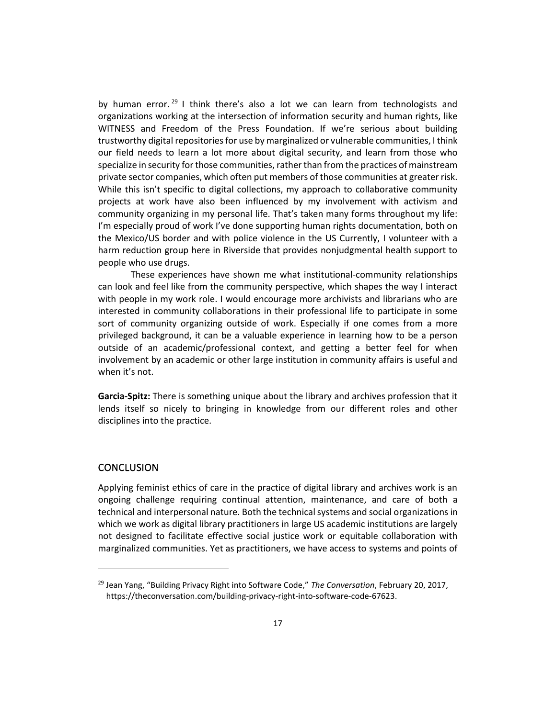by human error.<sup>29</sup> I think there's also a lot we can learn from technologists and organizations working at the intersection of information security and human rights, like WITNESS and Freedom of the Press Foundation. If we're serious about building trustworthy digital repositories for use by marginalized or vulnerable communities, I think our field needs to learn a lot more about digital security, and learn from those who specialize in security for those communities, rather than from the practices of mainstream private sector companies, which often put members of those communities at greater risk. While this isn't specific to digital collections, my approach to collaborative community projects at work have also been influenced by my involvement with activism and community organizing in my personal life. That's taken many forms throughout my life: I'm especially proud of work I've done supporting human rights documentation, both on the Mexico/US border and with police violence in the US Currently, I volunteer with a harm reduction group here in Riverside that provides nonjudgmental health support to people who use drugs.

These experiences have shown me what institutional-community relationships can look and feel like from the community perspective, which shapes the way I interact with people in my work role. I would encourage more archivists and librarians who are interested in community collaborations in their professional life to participate in some sort of community organizing outside of work. Especially if one comes from a more privileged background, it can be a valuable experience in learning how to be a person outside of an academic/professional context, and getting a better feel for when involvement by an academic or other large institution in community affairs is useful and when it's not.

**Garcia-Spitz:** There is something unique about the library and archives profession that it lends itself so nicely to bringing in knowledge from our different roles and other disciplines into the practice.

#### **CONCLUSION**

Applying feminist ethics of care in the practice of digital library and archives work is an ongoing challenge requiring continual attention, maintenance, and care of both a technical and interpersonal nature. Both the technical systems and social organizations in which we work as digital library practitioners in large US academic institutions are largely not designed to facilitate effective social justice work or equitable collaboration with marginalized communities. Yet as practitioners, we have access to systems and points of

<sup>29</sup> Jean Yang, "Building Privacy Right into Software Code," *The Conversation*, February 20, 2017[,](http://theconversation.com/building-privacy-right-into-software-code-67623) https://theconversation.com/building-privacy-right-into-software-code-67623.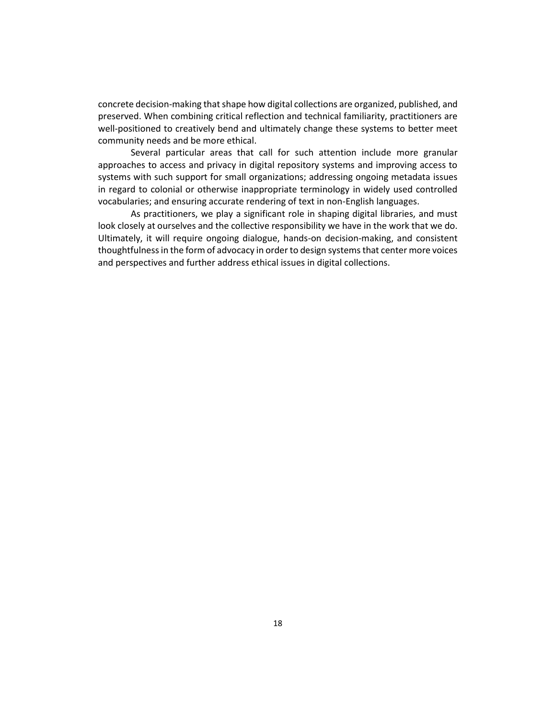concrete decision-making that shape how digital collections are organized, published, and preserved. When combining critical reflection and technical familiarity, practitioners are well-positioned to creatively bend and ultimately change these systems to better meet community needs and be more ethical.

Several particular areas that call for such attention include more granular approaches to access and privacy in digital repository systems and improving access to systems with such support for small organizations; addressing ongoing metadata issues in regard to colonial or otherwise inappropriate terminology in widely used controlled vocabularies; and ensuring accurate rendering of text in non-English languages.

As practitioners, we play a significant role in shaping digital libraries, and must look closely at ourselves and the collective responsibility we have in the work that we do. Ultimately, it will require ongoing dialogue, hands-on decision-making, and consistent thoughtfulness in the form of advocacy in order to design systems that center more voices and perspectives and further address ethical issues in digital collections.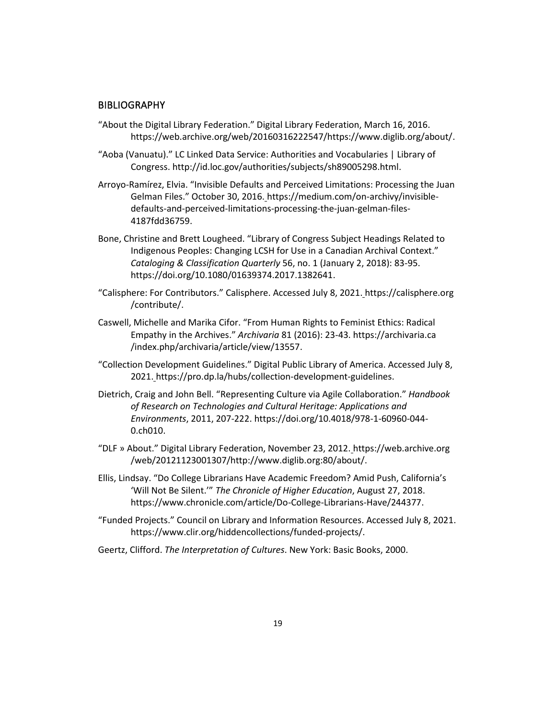#### **BIBLIOGRAPHY**

- "About the Digital Library Federation." Digital Library Federation, March 16, 2016[.](https://web.archive.org/web/20160316222547/https:/www.diglib.org/about/) https://web.archive.org/web/20160316222547/https://www.diglib.org/about/.
- "Aoba (Vanuatu)." LC Linked Data Service: Authorities and Vocabularies | Library of Congress. http://id.loc.gov/authorities/subjects/sh89005298.html.
- Arroyo-Ramírez, Elvia. "Invisible Defaults and Perceived Limitations: Processing the Juan Gelman Files." October 30, 2016[.](https://medium.com/on-archivy/invisible-defaults-and-perceived-limitations-processing-the-juan-gelman-files-4187fdd36759) https://medium.com/on-archivy/invisibledefaults-and-perceived-limitations-processing-the-juan-gelman-files-4187fdd36759.
- Bone, Christine and Brett Lougheed. "Library of Congress Subject Headings Related to Indigenous Peoples: Changing LCSH for Use in a Canadian Archival Context." *Cataloging & Classification Quarterly* 56, no. 1 (January 2, 2018): 83-95[.](https://doi.org/10.1080/01639374.2017.1382641) https://doi.org/10.1080/01639374.2017.1382641.
- "Calisphere: For Contributors." Calisphere. Accessed July 8, 2021[.](https://calisphere.org/contribute/) https://calisphere.org /contribute/.
- Caswell, Michelle and Marika Cifor. "From Human Rights to Feminist Ethics: Radical Empathy in the Archives." *Archivaria* 81 (2016): 23-43. https://archivaria.ca /index.php/archivaria/article/view/13557.
- "Collection Development Guidelines." Digital Public Library of America. Accessed July 8, 2021. [h](https://pro.dp.la/hubs/collection-development-guidelines)ttps://pro.dp.la/hubs/collection-development-guidelines.
- Dietrich, Craig and John Bell. "Representing Culture via Agile Collaboration." *Handbook of Research on Technologies and Cultural Heritage: Applications and Environments*, 2011, 207-222. https://doi.org/10.4018/978-1-60960-044- 0.ch010.
- "DLF » About." Digital Library Federation, November 23, 2012[.](https://web.archive.org/web/20121123001307/http:/www.diglib.org:80/about/) https://web.archive.org /web/20121123001307/http://www.diglib.org:80/about/.
- Ellis, Lindsay. "Do College Librarians Have Academic Freedom? Amid Push, California's 'Will Not Be Silent.'" *The Chronicle of Higher Education*, August 27, 2018[.](file:///C:/Users/cgarciaspitz/AppData/Local/Microsoft/Windows/INetCache/Content.Outlook/K4LJ9G4T/) https://www.chronicle.com/article/Do-College-Librarians-Have/244377.
- "Funded Projects." Council on Library and Information Resources. Accessed July 8, 2021[.](https://www.clir.org/hiddencollections/funded-projects/) https://www.clir.org/hiddencollections/funded-projects/.
- Geertz, Clifford. *The Interpretation of Cultures*. New York: Basic Books, 2000.